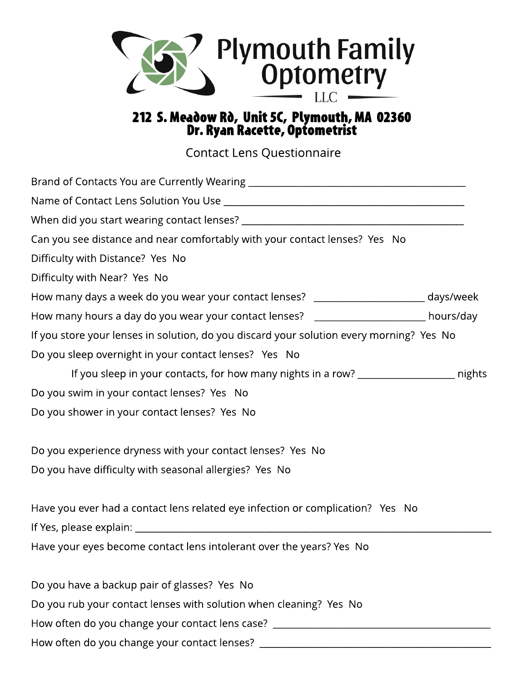

## 212 S. Meadow Rò, Unit 5C, Plymouth, MA 02360 Dr. Ryan Racette, Optometrist

Contact Lens Questionnaire

| Can you see distance and near comfortably with your contact lenses? Yes No               |  |
|------------------------------------------------------------------------------------------|--|
| Difficulty with Distance? Yes No                                                         |  |
| Difficulty with Near? Yes No                                                             |  |
| How many days a week do you wear your contact lenses? ________________________ days/week |  |
| How many hours a day do you wear your contact lenses? ________________________ hours/day |  |
| If you store your lenses in solution, do you discard your solution every morning? Yes No |  |
| Do you sleep overnight in your contact lenses? Yes No                                    |  |
| If you sleep in your contacts, for how many nights in a row? ___________________ nights  |  |
| Do you swim in your contact lenses? Yes No                                               |  |
| Do you shower in your contact lenses? Yes No                                             |  |
| Do you experience dryness with your contact lenses? Yes No                               |  |
| Do you have difficulty with seasonal allergies? Yes No                                   |  |
| Have you ever had a contact lens related eye infection or complication? Yes No           |  |
|                                                                                          |  |
| Have your eyes become contact lens intolerant over the years? Yes No                     |  |
| Do you have a backup pair of glasses? Yes No                                             |  |
| Do you rub your contact lenses with solution when cleaning? Yes No                       |  |
| How often do you change your contact lens case? ________________________________         |  |
| How often do you change your contact lenses?                                             |  |